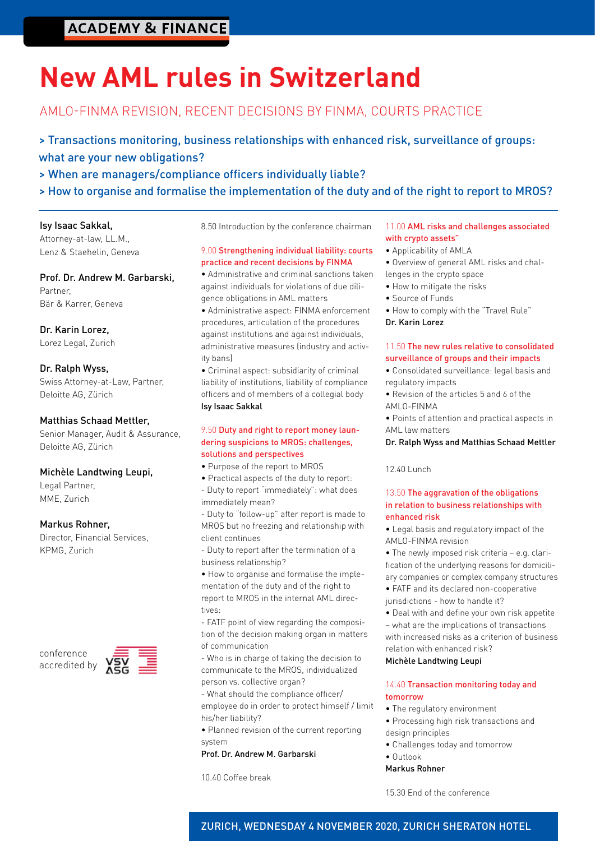# **ACADEMY & FINANCE**

# **New AML rules in Switzerland**

# AMLO-FINMA REVISION, RECENT DECISIONS BY FINMA, COURTS PRACTICE

> Transactions monitoring, business relationships with enhanced risk, surveillance of groups: what are your new obligations?

> When are managers/compliance officers individually liable?

> How to organise and formalise the implementation of the duty and of the right to report to MROS?

#### Isy Isaac Sakkal,

Attorney-at-law, LL.M., Lenz & Staehelin, Geneva

Prof. Dr. Andrew M. Garbarski, Partner, Bär & Karrer, Geneva

Dr. Karin Lorez, Lorez Legal, Zurich

#### Dr. Ralph Wyss,

Swiss Attorney-at-Law, Partner, Deloitte AG, Zürich

#### Matthias Schaad Mettler,

Senior Manager, Audit & Assurance, Deloitte AG, Zürich

## Michèle Landtwing Leupi,

Legal Partner, MME, Zurich

## Markus Rohner,

Director, Financial Services, KPMG, Zurich





8.50 Introduction by the conference chairman

#### 9.00 Strengthening individual liability: courts practice and recent decisions by FINMA

• Administrative and criminal sanctions taken against individuals for violations of due diligence obligations in AML matters

• Administrative aspect: FINMA enforcement procedures, articulation of the procedures against institutions and against individuals, administrative measures (industry and activity bans)

• Criminal aspect: subsidiarity of criminal liability of institutions, liability of compliance officers and of members of a collegial body Isy Isaac Sakkal

#### 9.50 Duty and right to report money laundering suspicions to MROS: challenges, solutions and perspectives

- Purpose of the report to MROS
- Practical aspects of the duty to report: - Duty to report "immediately": what does immediately mean?

- Duty to "follow-up" after report is made to MROS but no freezing and relationship with client continues

- Duty to report after the termination of a business relationship?

• How to organise and formalise the implementation of the duty and of the right to report to MROS in the internal AML directives:

- FATF point of view regarding the composition of the decision making organ in matters of communication

- Who is in charge of taking the decision to communicate to the MROS, individualized person vs. collective organ?

- What should the compliance officer/ employee do in order to protect himself / limit his/her liability?

• Planned revision of the current reporting system

#### Prof. Dr. Andrew M. Garbarski

10.40 Coffee break

#### 11.00 AML risks and challenges associated with crypto assets"

- Applicability of AMLA
- Overview of general AML risks and chal-
- lenges in the crypto space
- How to mitigate the risks
- Source of Funds
- How to comply with the "Travel Rule"

### Dr. Karin Lorez

### 11.50 The new rules relative to consolidated surveillance of groups and their impacts

• Consolidated surveillance: legal basis and regulatory impacts

• Revision of the articles 5 and 6 of the AMLO-FINMA

• Points of attention and practical aspects in AML law matters

#### Dr. Ralph Wyss and Matthias Schaad Mettler

12.40 Lunch

### 13.50 The aggravation of the obligations in relation to business relationships with enhanced risk

• Legal basis and regulatory impact of the AMLO-FINMA revision

• The newly imposed risk criteria – e.g. clarification of the underlying reasons for domiciliary companies or complex company structures

• FATF and its declared non-cooperative jurisdictions - how to handle it?

• Deal with and define your own risk appetite – what are the implications of transactions with increased risks as a criterion of business relation with enhanced risk?

#### Michèle Landtwing Leupi

#### 14.40 Transaction monitoring today and tomorrow

- The regulatory environment
- Processing high risk transactions and design principles
- Challenges today and tomorrow
- Outlook

#### Markus Rohner

15.30 End of the conference

ZURICH, WEDNESDAY 4 NOVEMBER 2020, ZURICH SHERATON HOTEL